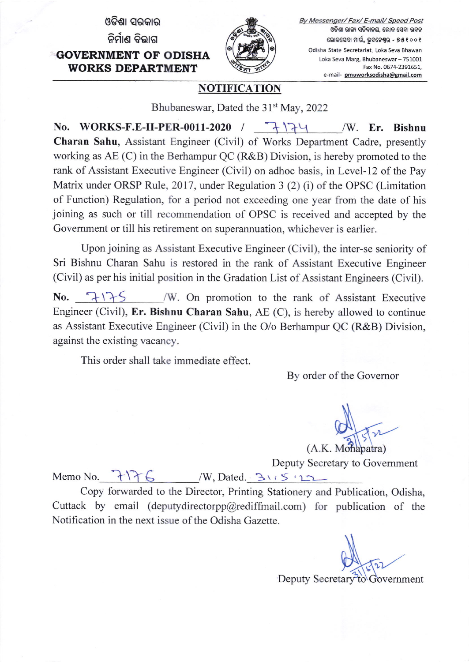ଓଡିଶା ସରକାର ନିର୍ମାଣ ବିଭାଗ GOVERNMENT OF ODISHA WORKS DEPARTMENT



By Messenger/ Fax/ E-mail/ Speed Post ଓଡିଶା ରାଜ୍ୟ ସଚିବାଳୟ, ଲୋକ ସେବା ଭବନ ଲୋକସେବା ମାର୍ଗ, ଭୁବନେଶ୍ୱର - ୭୫**୧**୦୦୧ Odisha State Secretariat. Loka Seva Bhawan Loka Seva Marg, Bhubaneswar - 751001 Fax No. 0674-2391651, e-mail- pmuworksodisha@gmail.com

## **NOTIFICATION**

Bhubaneswar, Dated the 31<sup>st</sup> May, 2022

No. WORKS-F.E-II-PER-0011-2020 /  $\rightarrow \$ Charan Sahu, Assistant Engineer (Civil) of Works Department Cadre, presently working as AE (C) in the Berhampur QC (R&B) Division, is hereby promoted to the rank of Assistant Executive Engineer (Civil) on adhoc basis, in Level-12 of the Pay Matrix under ORSP Rule, 2017, under Regulation 3  $(2)$  (i) of the OPSC (Limitation of Function) Regulation, for a period not exceeding one year from the date of his joining as such or till recommendation of OPSC is received and accepted by the Govemment or till his retirement on superannuation, whichever is earlier.

Upon joining as Assistant Executive Engineer (Civil), the inter-se seniority of Sri Bishnu Charan Sahu is restored in the rank of Assistant Executive Engineer (Civil) as per his initial position in the Gradation List of Assistant Engineers (Civil).

No. 1175 /W. On promotion to the rank of Assistant Executive Engineer (Civil), Er. Bishnu Charan Sahu, AE (C), is hereby allowed to continue as Assistant Executive Engineer (Civil) in the O/o Berhampur QC (R&B) Division, against the existing vacancy.

This order shall take immediate effect.

By order of the Govemor

(A.K. Mohapatra)

Deputy Secretary to Government<br>Memo No. <del>1176</del> /W, Dated. Bis Simple public of the Superior of Secretary to Government

Copy forwarded to the Director, Printing Stationery and Publication, Odisha, Cuttack by email (deputydirectorpp@rediffmail.com) for publication of the Notification in the next issue of the Odisha Gazette.

Deputy Secretary to Government